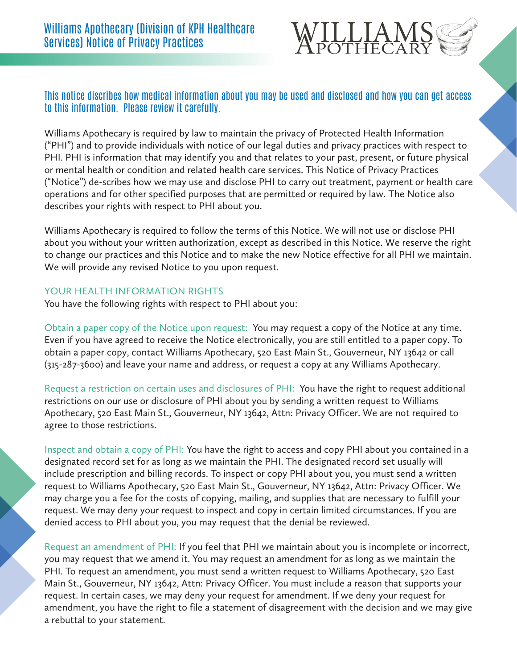

## This notice discribes how medical information about you may be used and disclosed and how you can get access to this information. Please review it carefully.

Williams Apothecary is required by law to maintain the privacy of Protected Health Information ("PHI") and to provide individuals with notice of our legal duties and privacy practices with respect to PHI. PHI is information that may identify you and that relates to your past, present, or future physical or mental health or condition and related health care services. This Notice of Privacy Practices ("Notice") de-scribes how we may use and disclose PHI to carry out treatment, payment or health care operations and for other specified purposes that are permitted or required by law. The Notice also describes your rights with respect to PHI about you.

Williams Apothecary is required to follow the terms of this Notice. We will not use or disclose PHI about you without your written authorization, except as described in this Notice. We reserve the right to change our practices and this Notice and to make the new Notice effective for all PHI we maintain. We will provide any revised Notice to you upon request.

## YOUR HEALTH INFORMATION RIGHTS

You have the following rights with respect to PHI about you:

Obtain a paper copy of the Notice upon request: You may request a copy of the Notice at any time. Even if you have agreed to receive the Notice electronically, you are still entitled to a paper copy. To obtain a paper copy, contact Williams Apothecary, 520 East Main St., Gouverneur, NY 13642 or call (315-287-3600) and leave your name and address, or request a copy at any Williams Apothecary.

Request a restriction on certain uses and disclosures of PHI: You have the right to request additional restrictions on our use or disclosure of PHI about you by sending a written request to Williams Apothecary, 520 East Main St., Gouverneur, NY 13642, Attn: Privacy Officer. We are not required to agree to those restrictions.

Inspect and obtain a copy of PHI: You have the right to access and copy PHI about you contained in a designated record set for as long as we maintain the PHI. The designated record set usually will include prescription and billing records. To inspect or copy PHI about you, you must send a written request to Williams Apothecary, 520 East Main St., Gouverneur, NY 13642, Attn: Privacy Officer. We may charge you a fee for the costs of copying, mailing, and supplies that are necessary to fulfill your request. We may deny your request to inspect and copy in certain limited circumstances. If you are denied access to PHI about you, you may request that the denial be reviewed.

Request an amendment of PHI: If you feel that PHI we maintain about you is incomplete or incorrect, you may request that we amend it. You may request an amendment for as long as we maintain the PHI. To request an amendment, you must send a written request to Williams Apothecary, 520 East Main St., Gouverneur, NY 13642, Attn: Privacy Officer. You must include a reason that supports your request. In certain cases, we may deny your request for amendment. If we deny your request for amendment, you have the right to file a statement of disagreement with the decision and we may give a rebuttal to your statement.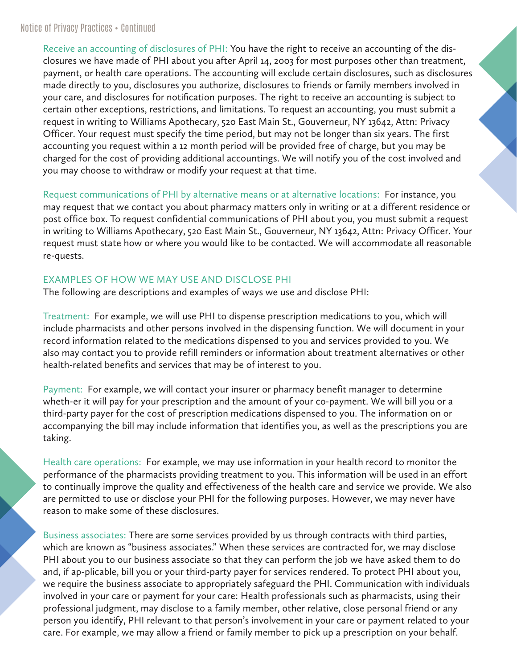Receive an accounting of disclosures of PHI: You have the right to receive an accounting of the disclosures we have made of PHI about you after April 14, 2003 for most purposes other than treatment, payment, or health care operations. The accounting will exclude certain disclosures, such as disclosures made directly to you, disclosures you authorize, disclosures to friends or family members involved in your care, and disclosures for notification purposes. The right to receive an accounting is subject to certain other exceptions, restrictions, and limitations. To request an accounting, you must submit a request in writing to Williams Apothecary, 520 East Main St., Gouverneur, NY 13642, Attn: Privacy Officer. Your request must specify the time period, but may not be longer than six years. The first accounting you request within a 12 month period will be provided free of charge, but you may be charged for the cost of providing additional accountings. We will notify you of the cost involved and you may choose to withdraw or modify your request at that time.

Request communications of PHI by alternative means or at alternative locations: For instance, you may request that we contact you about pharmacy matters only in writing or at a different residence or post office box. To request confidential communications of PHI about you, you must submit a request in writing to Williams Apothecary, 520 East Main St., Gouverneur, NY 13642, Attn: Privacy Officer. Your request must state how or where you would like to be contacted. We will accommodate all reasonable re-quests.

## EXAMPLES OF HOW WE MAY USE AND DISCLOSE PHI

The following are descriptions and examples of ways we use and disclose PHI:

Treatment: For example, we will use PHI to dispense prescription medications to you, which will include pharmacists and other persons involved in the dispensing function. We will document in your record information related to the medications dispensed to you and services provided to you. We also may contact you to provide refill reminders or information about treatment alternatives or other health-related benefits and services that may be of interest to you.

Payment: For example, we will contact your insurer or pharmacy benefit manager to determine wheth-er it will pay for your prescription and the amount of your co-payment. We will bill you or a third-party payer for the cost of prescription medications dispensed to you. The information on or accompanying the bill may include information that identifies you, as well as the prescriptions you are taking.

Health care operations: For example, we may use information in your health record to monitor the performance of the pharmacists providing treatment to you. This information will be used in an effort to continually improve the quality and effectiveness of the health care and service we provide. We also are permitted to use or disclose your PHI for the following purposes. However, we may never have reason to make some of these disclosures.

Business associates: There are some services provided by us through contracts with third parties, which are known as "business associates." When these services are contracted for, we may disclose PHI about you to our business associate so that they can perform the job we have asked them to do and, if ap-plicable, bill you or your third-party payer for services rendered. To protect PHI about you, we require the business associate to appropriately safeguard the PHI. Communication with individuals involved in your care or payment for your care: Health professionals such as pharmacists, using their professional judgment, may disclose to a family member, other relative, close personal friend or any person you identify, PHI relevant to that person's involvement in your care or payment related to your care. For example, we may allow a friend or family member to pick up a prescription on your behalf.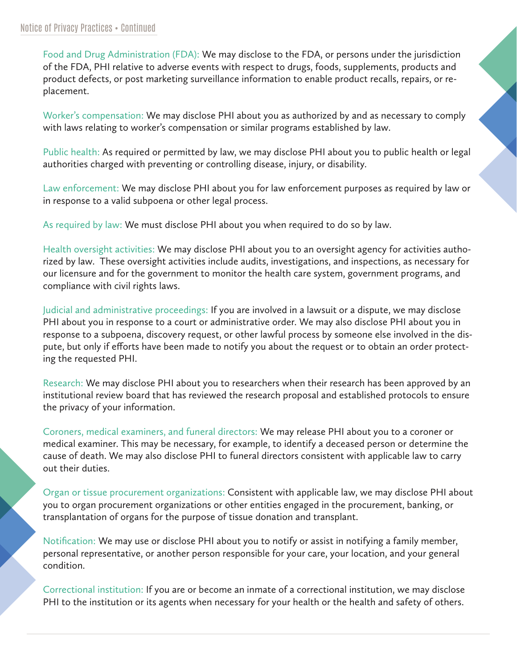Food and Drug Administration (FDA): We may disclose to the FDA, or persons under the jurisdiction of the FDA, PHI relative to adverse events with respect to drugs, foods, supplements, products and product defects, or post marketing surveillance information to enable product recalls, repairs, or replacement.

Worker's compensation: We may disclose PHI about you as authorized by and as necessary to comply with laws relating to worker's compensation or similar programs established by law.

Public health: As required or permitted by law, we may disclose PHI about you to public health or legal authorities charged with preventing or controlling disease, injury, or disability.

Law enforcement: We may disclose PHI about you for law enforcement purposes as required by law or in response to a valid subpoena or other legal process.

As required by law: We must disclose PHI about you when required to do so by law.

Health oversight activities: We may disclose PHI about you to an oversight agency for activities authorized by law. These oversight activities include audits, investigations, and inspections, as necessary for our licensure and for the government to monitor the health care system, government programs, and compliance with civil rights laws.

Judicial and administrative proceedings: If you are involved in a lawsuit or a dispute, we may disclose PHI about you in response to a court or administrative order. We may also disclose PHI about you in response to a subpoena, discovery request, or other lawful process by someone else involved in the dispute, but only if efforts have been made to notify you about the request or to obtain an order protecting the requested PHI.

Research: We may disclose PHI about you to researchers when their research has been approved by an institutional review board that has reviewed the research proposal and established protocols to ensure the privacy of your information.

Coroners, medical examiners, and funeral directors: We may release PHI about you to a coroner or medical examiner. This may be necessary, for example, to identify a deceased person or determine the cause of death. We may also disclose PHI to funeral directors consistent with applicable law to carry out their duties.

Organ or tissue procurement organizations: Consistent with applicable law, we may disclose PHI about you to organ procurement organizations or other entities engaged in the procurement, banking, or transplantation of organs for the purpose of tissue donation and transplant.

Notification: We may use or disclose PHI about you to notify or assist in notifying a family member, personal representative, or another person responsible for your care, your location, and your general condition.

Correctional institution: If you are or become an inmate of a correctional institution, we may disclose PHI to the institution or its agents when necessary for your health or the health and safety of others.